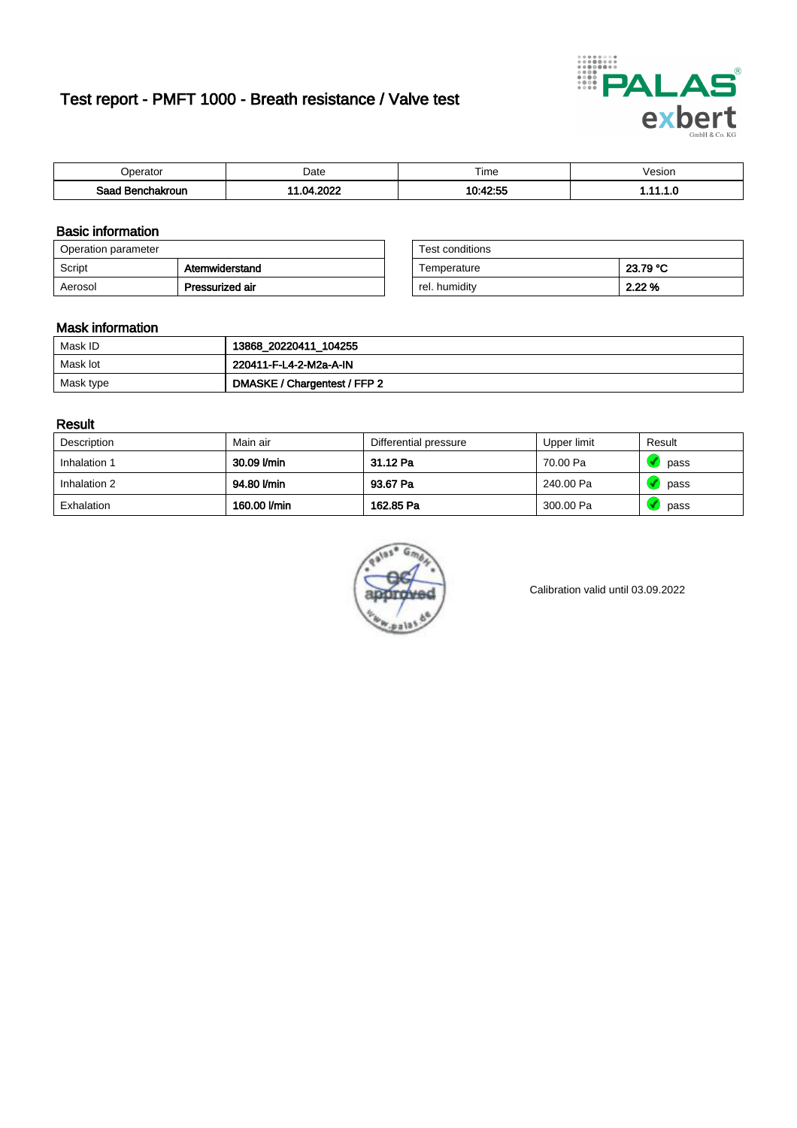# Test report - PMFT 1000 - Breath resistance / Valve test



| <b>'</b> perator              | Date       | $- \cdot$<br>Time | /esion |
|-------------------------------|------------|-------------------|--------|
| Saad<br><b>nchakroun</b><br>. | יממה<br>nл | 10.10.55          | .      |

### Basic information

| Operation parameter |                 | Test conditions |          |
|---------------------|-----------------|-----------------|----------|
| Script              | Atemwiderstand  | Temperature     | 23.79 °C |
| Aerosol             | Pressurized air | rel. humidity   | 2.22%    |

| Test conditions |          |
|-----------------|----------|
| Temperature     | 23.79 °C |
| rel. humidity   | 2.22%    |

### Mask information

| Mask ID   | 13868_20220411_104255        |
|-----------|------------------------------|
| Mask lot  | 220411-F-L4-2-M2a-A-IN       |
| Mask type | DMASKE / Chargentest / FFP 2 |

### Result

| Description  | Main air     | Differential pressure | Upper limit | Result |
|--------------|--------------|-----------------------|-------------|--------|
| Inhalation 1 | 30.09 l/min  | 31.12 Pa              | 70.00 Pa    | pass   |
| Inhalation 2 | 94.80 l/min  | 93.67 Pa              | 240.00 Pa   | pass   |
| Exhalation   | 160.00 l/min | 162.85 Pa             | 300.00 Pa   | pass   |



Calibration valid until 03.09.2022